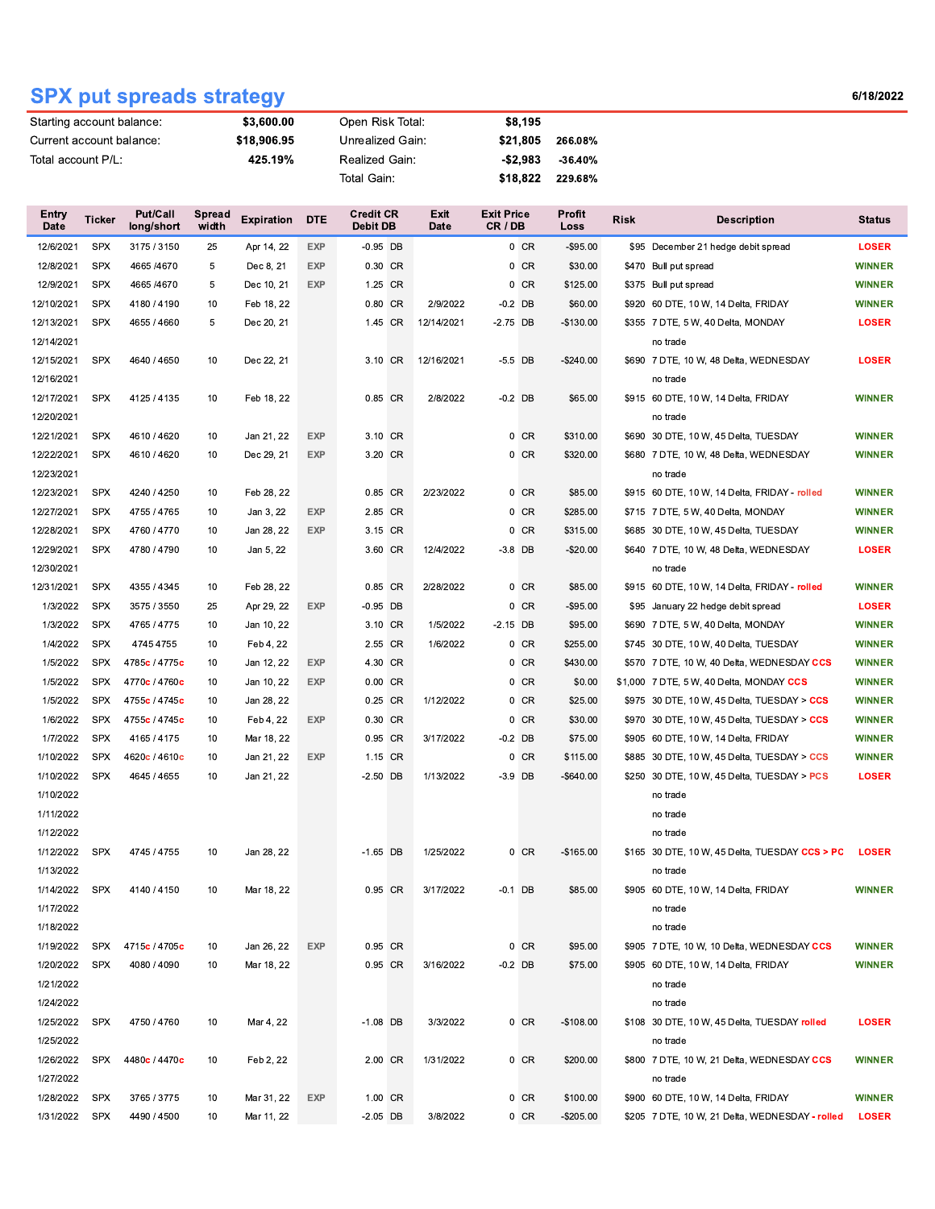## **SPX put spreads strategy**

6/18/2022

| Starting account balance: |            |                        | \$3,600.00<br>Open Risk Total: |                   |            |                              |  |                     | \$8,195                      |           |                |                                              |                                                 |               |
|---------------------------|------------|------------------------|--------------------------------|-------------------|------------|------------------------------|--|---------------------|------------------------------|-----------|----------------|----------------------------------------------|-------------------------------------------------|---------------|
| Current account balance:  |            |                        | \$18,906.95                    |                   |            | Unrealized Gain:             |  |                     | \$21,805                     |           | 266.08%        |                                              |                                                 |               |
| Total account P/L:        |            |                        |                                | 425.19%           |            | Realized Gain:               |  |                     |                              | $-$2,983$ | $-36.40%$      |                                              |                                                 |               |
|                           |            |                        |                                |                   |            | Total Gain:                  |  |                     |                              | \$18,822  | 229.68%        |                                              |                                                 |               |
|                           |            |                        |                                |                   |            |                              |  |                     |                              |           |                |                                              |                                                 |               |
| Entry<br>Date             | Ticker     | Put/Call<br>long/short | <b>Spread</b><br>width         | <b>Expiration</b> | <b>DTE</b> | <b>Credit CR</b><br>Debit DB |  | Exit<br><b>Date</b> | <b>Exit Price</b><br>CR / DB |           | Profit<br>Loss | Risk                                         | <b>Description</b>                              | <b>Status</b> |
| 12/6/2021                 | <b>SPX</b> | 3175 / 3150            | 25                             | Apr 14, 22        | EXP        | $-0.95$ DB                   |  |                     |                              | $0$ CR    | $-$95.00$      |                                              | \$95 December 21 hedge debit spread             | <b>LOSER</b>  |
| 12/8/2021                 | <b>SPX</b> | 4665 / 4670            | 5                              | Dec 8, 21         | <b>EXP</b> | 0.30 CR                      |  |                     |                              | $0$ CR    | \$30.00        |                                              | \$470 Bull put spread                           | <b>WINNER</b> |
| 12/9/2021                 | <b>SPX</b> | 4665 / 4670            | 5                              | Dec 10, 21        | <b>EXP</b> | 1.25 CR                      |  |                     |                              | $0$ CR    | \$125.00       |                                              | \$375 Bull put spread                           | <b>WINNER</b> |
| 12/10/2021                | <b>SPX</b> | 4180 / 4190            | 10                             | Feb 18, 22        |            | 0.80 CR                      |  | 2/9/2022            | $-0.2$ DB                    |           | \$60.00        |                                              | \$920 60 DTE, 10 W, 14 Delta, FRIDAY            | <b>WINNER</b> |
| 12/13/2021                | <b>SPX</b> | 4655 / 4660            | 5                              | Dec 20, 21        |            | 1.45 CR                      |  | 12/14/2021          | $-2.75$ DB                   |           | $-$130.00$     |                                              | \$355 7 DTE, 5 W, 40 Delta, MONDAY              | <b>LOSER</b>  |
| 12/14/2021                |            |                        |                                |                   |            |                              |  |                     |                              |           |                |                                              | no trade                                        |               |
| 12/15/2021                | <b>SPX</b> | 4640 / 4650            | 10                             | Dec 22, 21        |            | 3.10 CR                      |  | 12/16/2021          | $-5.5$ DB                    |           | $-$240.00$     |                                              | \$690 7 DTE, 10 W, 48 Delta, WEDNESDAY          | <b>LOSER</b>  |
| 12/16/2021                |            |                        |                                |                   |            |                              |  |                     |                              |           |                |                                              | no trade                                        |               |
| 12/17/2021                | <b>SPX</b> | 4125 / 4135            | 10                             | Feb 18, 22        |            | 0.85 CR                      |  | 2/8/2022            | $-0.2$ DB                    |           | \$65.00        |                                              | \$915 60 DTE, 10 W, 14 Delta, FRIDAY            | <b>WINNER</b> |
| 12/20/2021                |            |                        |                                |                   |            |                              |  |                     |                              |           |                |                                              | no trade                                        |               |
| 12/21/2021                | <b>SPX</b> | 4610 / 4620            | 10                             | Jan 21, 22        | EXP        | 3.10 CR                      |  |                     |                              | $0$ CR    | \$310.00       |                                              | \$690 30 DTE, 10 W, 45 Delta, TUESDAY           | <b>WINNER</b> |
| 12/22/2021                | <b>SPX</b> | 4610 / 4620            | 10                             | Dec 29, 21        | EXP        | 3.20 CR                      |  |                     |                              | $0$ CR    | \$320.00       |                                              | \$680 7 DTE, 10 W, 48 Delta, WEDNESDAY          | <b>WINNER</b> |
| 12/23/2021                |            |                        |                                |                   |            |                              |  |                     |                              |           |                |                                              | no trade                                        |               |
| 12/23/2021                | <b>SPX</b> | 4240 / 4250            | 10                             | Feb 28, 22        |            | 0.85 CR                      |  | 2/23/2022           |                              | 0 CR      | \$85.00        |                                              | \$915 60 DTE, 10 W, 14 Delta, FRIDAY - rolled   | <b>WINNER</b> |
| 12/27/2021                | <b>SPX</b> | 4755 / 4765            | 10                             | Jan 3, 22         | <b>EXP</b> | 2.85 CR                      |  |                     |                              | 0 CR      | \$285.00       |                                              | \$715 7 DTE, 5 W, 40 Delta, MONDAY              | <b>WINNER</b> |
| 12/28/2021                | <b>SPX</b> | 4760 / 4770            | 10                             | Jan 28, 22        | <b>EXP</b> | 3.15 CR                      |  |                     |                              | $0$ CR    | \$315.00       |                                              | \$685 30 DTE, 10 W, 45 Delta, TUESDAY           | <b>WINNER</b> |
| 12/29/2021                | <b>SPX</b> | 4780 / 4790            | 10                             | Jan 5, 22         |            | 3.60 CR                      |  | 12/4/2022           | $-3.8$ DB                    |           | $-$20.00$      |                                              | \$640 7 DTE, 10 W, 48 Delta, WEDNESDAY          | <b>LOSER</b>  |
| 12/30/2021                |            |                        |                                |                   |            |                              |  |                     |                              |           |                |                                              | no trade                                        |               |
| 12/31/2021                | <b>SPX</b> | 4355 / 4345            | 10                             | Feb 28, 22        |            | 0.85 CR                      |  | 2/28/2022           |                              | 0 CR      | \$85.00        |                                              | \$915 60 DTE, 10 W, 14 Delta, FRIDAY - rolled   | <b>WINNER</b> |
| 1/3/2022                  | <b>SPX</b> | 3575 / 3550            | 25                             | Apr 29, 22        | <b>EXP</b> | $-0.95$ DB                   |  |                     |                              | $0$ CR    | $-$ \$95.00    |                                              | \$95 January 22 hedge debit spread              | <b>LOSER</b>  |
| 1/3/2022                  | <b>SPX</b> | 4765 / 4775            | 10                             | Jan 10, 22        |            | 3.10 CR                      |  | 1/5/2022            | $-2.15$ DB                   |           | \$95.00        |                                              | \$690 7 DTE, 5 W, 40 Delta, MONDAY              | <b>WINNER</b> |
| 1/4/2022                  | <b>SPX</b> | 4745 4755              | 10                             | Feb 4, 22         |            | 2.55 CR                      |  | 1/6/2022            |                              | $0$ CR    | \$255.00       |                                              | \$745 30 DTE, 10 W, 40 Delta, TUESDAY           | <b>WINNER</b> |
| 1/5/2022                  | <b>SPX</b> | 4785c / 4775c          | 10                             | Jan 12, 22        | EXP        | 4.30 CR                      |  |                     |                              | 0 CR      | \$430.00       |                                              | \$570 7 DTE, 10 W, 40 Delta, WEDNESDAY CCS      | <b>WINNER</b> |
| 1/5/2022                  | <b>SPX</b> | 4770c / 4760c          | 10                             | Jan 10, 22        | EXP        | 0.00 CR                      |  |                     |                              | 0 CR      | \$0.00         |                                              | \$1,000 7 DTE, 5 W, 40 Delta, MONDAY CCS        | <b>WINNER</b> |
| 1/5/2022                  | <b>SPX</b> | 4755c / 4745c          | 10                             | Jan 28, 22        |            | 0.25 CR                      |  | 1/12/2022           |                              | $0$ CR    | \$25.00        |                                              | \$975 30 DTE, 10 W, 45 Delta, TUESDAY > CCS     | <b>WINNER</b> |
| 1/6/2022                  | <b>SPX</b> | 4755c / 4745c          | 10                             | Feb 4, 22         | EXP        | 0.30 CR                      |  |                     |                              | $0$ CR    | \$30.00        |                                              | \$970 30 DTE, 10 W, 45 Delta, TUESDAY > CCS     | <b>WINNER</b> |
| 1/7/2022                  | <b>SPX</b> | 4165 / 4175            | 10                             | Mar 18, 22        |            | 0.95 CR                      |  | 3/17/2022           | $-0.2$ DB                    |           | \$75.00        |                                              | \$905 60 DTE, 10 W, 14 Delta, FRIDAY            | <b>WINNER</b> |
| 1/10/2022                 | <b>SPX</b> | 4620c / 4610c          | 10                             | Jan 21, 22        | EXP        | 1.15 CR                      |  |                     |                              | $0$ CR    | \$115.00       |                                              | \$885 30 DTE, 10 W, 45 Delta, TUESDAY > CCS     | <b>WINNER</b> |
| 1/10/2022                 | <b>SPX</b> | 4645 / 4655            | 10                             | Jan 21, 22        |            | $-2.50$ DB                   |  | 1/13/2022           | $-3.9$ DB                    |           | $-$ \$640.00   |                                              | \$250 30 DTE, 10 W, 45 Delta, TUESDAY > PCS     | <b>LOSER</b>  |
| 1/10/2022                 |            |                        |                                |                   |            |                              |  |                     |                              |           |                |                                              | no trade                                        |               |
| 1/11/2022                 |            |                        |                                |                   |            |                              |  |                     |                              |           |                |                                              | no trade                                        |               |
| 1/12/2022                 |            |                        |                                |                   |            |                              |  |                     |                              |           |                |                                              | no trade                                        |               |
| 1/12/2022                 | <b>SPX</b> | 4745 / 4755            | 10                             | Jan 28, 22        |            | $-1.65$ DB                   |  | 1/25/2022           |                              | $0$ CR    | $-$165.00$     |                                              | \$165 30 DTE, 10 W, 45 Delta, TUESDAY CCS > PC  | <b>LOSER</b>  |
| 1/13/2022                 |            |                        |                                |                   |            |                              |  |                     |                              |           |                |                                              | no trade                                        |               |
| 1/14/2022                 | <b>SPX</b> | 4140 / 4150            | 10                             | Mar 18, 22        |            | 0.95 CR                      |  | 3/17/2022           | $-0.1$ DB                    |           | \$85.00        |                                              | \$905 60 DTE, 10 W, 14 Delta, FRIDAY            | <b>WINNER</b> |
| 1/17/2022                 |            |                        |                                |                   |            |                              |  |                     |                              |           |                |                                              | no trade                                        |               |
| 1/18/2022                 |            |                        |                                |                   |            |                              |  |                     |                              |           |                |                                              | no trade                                        |               |
| 1/19/2022                 | SPX        | 4715c / 4705c          | 10                             | Jan 26, 22        | <b>EXP</b> | 0.95 CR                      |  |                     |                              | $0$ CR    | \$95.00        |                                              | \$905 7 DTE, 10 W, 10 Delta, WEDNESDAY CCS      | <b>WINNER</b> |
| 1/20/2022                 | <b>SPX</b> | 4080 / 4090            | 10                             | Mar 18, 22        |            | 0.95 CR                      |  | 3/16/2022           | $-0.2$ DB                    |           | \$75.00        | \$905 60 DTE, 10 W, 14 Delta, FRIDAY         |                                                 | <b>WINNER</b> |
| 1/21/2022                 |            |                        |                                |                   |            |                              |  |                     |                              |           |                | no trade                                     |                                                 |               |
| 1/24/2022                 |            |                        |                                |                   |            |                              |  |                     |                              |           |                |                                              | no trade                                        |               |
| 1/25/2022                 | <b>SPX</b> | 4750 / 4760            | 10                             | Mar 4, 22         |            | $-1.08$ DB                   |  | 3/3/2022            |                              | $0$ CR    | $-$108.00$     | \$108 30 DTE, 10 W, 45 Delta, TUESDAY rolled |                                                 | <b>LOSER</b>  |
| 1/25/2022                 |            |                        |                                |                   |            |                              |  |                     |                              |           |                |                                              | no trade                                        |               |
| 1/26/2022                 | <b>SPX</b> | 4480c / 4470c          | 10                             | Feb 2, 22         |            | 2.00 CR                      |  | 1/31/2022           |                              | $0$ CR    | \$200.00       |                                              | \$800 7 DTE, 10 W, 21 Delta, WEDNESDAY CCS      | <b>WINNER</b> |
| 1/27/2022                 |            |                        |                                |                   |            |                              |  |                     |                              |           |                |                                              | no trade                                        |               |
| 1/28/2022                 | <b>SPX</b> | 3765 / 3775            | 10                             | Mar 31, 22        | EXP        | 1.00 CR                      |  |                     |                              | $0$ CR    | \$100.00       |                                              | \$900 60 DTE, 10 W, 14 Delta, FRIDAY            | <b>WINNER</b> |
| 1/31/2022                 | SPX        | 4490 / 4500            | 10                             | Mar 11, 22        |            | $-2.05$ DB                   |  | 3/8/2022            |                              | $0$ CR    | $-$205.00$     |                                              | \$205 7 DTE, 10 W, 21 Delta, WEDNESDAY - rolled | <b>LOSER</b>  |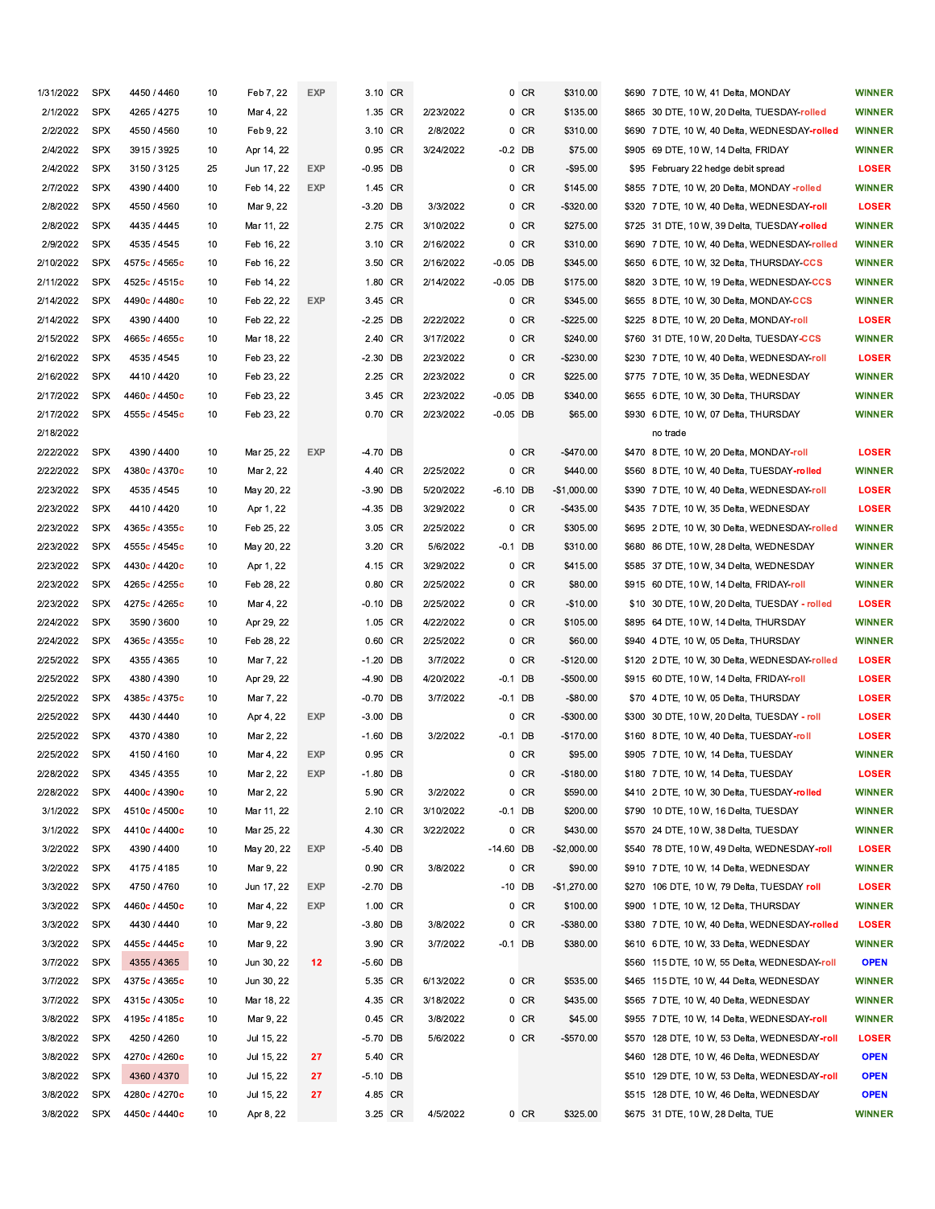| 1/31/2022 | <b>SPX</b> | 4450 / 4460   | 10 | Feb 7, 22  | EXP        | 3.10 CR    |           | 0 CR        | \$310.00     | \$690 7 DTE, 10 W, 41 Delta, MONDAY           | <b>WINNER</b> |
|-----------|------------|---------------|----|------------|------------|------------|-----------|-------------|--------------|-----------------------------------------------|---------------|
| 2/1/2022  | <b>SPX</b> | 4265 / 4275   | 10 | Mar 4, 22  |            | 1.35 CR    | 2/23/2022 | $0$ CR      | \$135.00     | \$865 30 DTE, 10 W, 20 Delta, TUESDAY-rolled  | <b>WINNER</b> |
| 2/2/2022  | <b>SPX</b> | 4550 / 4560   | 10 | Feb 9, 22  |            | 3.10 CR    | 2/8/2022  | $0$ CR      | \$310.00     | \$690 7 DTE, 10 W, 40 Delta, WEDNESDAY-rolled | <b>WINNER</b> |
| 2/4/2022  | <b>SPX</b> | 3915 / 3925   | 10 | Apr 14, 22 |            | 0.95 CR    | 3/24/2022 | $-0.2$ DB   | \$75.00      | \$905 69 DTE, 10 W, 14 Delta, FRIDAY          | <b>WINNER</b> |
| 2/4/2022  | <b>SPX</b> | 3150 / 3125   | 25 | Jun 17, 22 | <b>EXP</b> | $-0.95$ DB |           | 0 CR        | $-$95.00$    | \$95 February 22 hedge debit spread           | <b>LOSER</b>  |
| 2/7/2022  | <b>SPX</b> | 4390 / 4400   | 10 | Feb 14, 22 | EXP        | 1.45 CR    |           | $0$ CR      | \$145.00     | \$855 7 DTE, 10 W, 20 Delta, MONDAY -rolled   | <b>WINNER</b> |
| 2/8/2022  | <b>SPX</b> | 4550 / 4560   | 10 | Mar 9, 22  |            | $-3.20$ DB | 3/3/2022  | 0 CR        | -\$320.00    | \$320 7 DTE, 10 W, 40 Delta, WEDNESDAY-roll   | <b>LOSER</b>  |
| 2/8/2022  | <b>SPX</b> | 4435 / 4445   | 10 | Mar 11, 22 |            | 2.75 CR    | 3/10/2022 | 0 CR        | \$275.00     | \$725 31 DTE, 10 W, 39 Delta, TUESDAY-rolled  | <b>WINNER</b> |
| 2/9/2022  | <b>SPX</b> | 4535 / 4545   | 10 | Feb 16, 22 |            | 3.10 CR    | 2/16/2022 | 0 CR        | \$310.00     | \$690 7 DTE, 10 W, 40 Delta, WEDNESDAY-rolled | <b>WINNER</b> |
| 2/10/2022 | <b>SPX</b> | 4575c / 4565c | 10 | Feb 16, 22 |            | 3.50 CR    | 2/16/2022 | $-0.05$ DB  | \$345.00     | \$650 6 DTE, 10 W, 32 Delta, THURSDAY-CCS     | <b>WINNER</b> |
| 2/11/2022 | <b>SPX</b> | 4525c / 4515c | 10 | Feb 14, 22 |            | 1.80 CR    | 2/14/2022 | $-0.05$ DB  | \$175.00     | \$820 3 DTE, 10 W, 19 Delta, WEDNESDAY-CCS    | <b>WINNER</b> |
| 2/14/2022 | <b>SPX</b> | 4490c / 4480c | 10 | Feb 22, 22 | EXP        | 3.45 CR    |           | 0 CR        | \$345.00     | \$655 8 DTE, 10 W, 30 Delta, MONDAY-CCS       | <b>WINNER</b> |
| 2/14/2022 | <b>SPX</b> | 4390 / 4400   | 10 | Feb 22, 22 |            | -2.25 DB   | 2/22/2022 | 0 CR        | -\$225.00    | \$225 8 DTE, 10 W, 20 Delta, MONDAY-roll      | <b>LOSER</b>  |
| 2/15/2022 | <b>SPX</b> | 4665c / 4655c | 10 | Mar 18, 22 |            | 2.40 CR    | 3/17/2022 | 0 CR        | \$240.00     | \$760 31 DTE, 10 W, 20 Delta, TUESDAY-CCS     | <b>WINNER</b> |
| 2/16/2022 | <b>SPX</b> | 4535 / 4545   | 10 | Feb 23, 22 |            | $-2.30$ DB | 2/23/2022 | 0 CR        | $-$230.00$   | \$230 7 DTE, 10 W, 40 Delta, WEDNESDAY-roll   | <b>LOSER</b>  |
| 2/16/2022 | <b>SPX</b> | 4410 / 4420   | 10 | Feb 23, 22 |            | 2.25 CR    | 2/23/2022 | 0 CR        | \$225.00     | \$775 7 DTE, 10 W, 35 Delta, WEDNESDAY        | <b>WINNER</b> |
| 2/17/2022 | <b>SPX</b> | 4460c / 4450c | 10 | Feb 23, 22 |            | 3.45 CR    | 2/23/2022 | $-0.05$ DB  | \$340.00     | \$655 6 DTE, 10 W, 30 Delta, THURSDAY         | <b>WINNER</b> |
| 2/17/2022 | <b>SPX</b> | 4555c / 4545c | 10 | Feb 23, 22 |            | 0.70 CR    | 2/23/2022 | $-0.05$ DB  | \$65.00      | \$930 6 DTE, 10 W, 07 Delta, THURSDAY         | <b>WINNER</b> |
| 2/18/2022 |            |               |    |            |            |            |           |             |              | no trade                                      |               |
| 2/22/2022 | <b>SPX</b> | 4390 / 4400   | 10 | Mar 25, 22 | EXP        | $-4.70$ DB |           | 0 CR        | -\$470.00    | \$470 8 DTE, 10 W, 20 Delta, MONDAY-roll      | <b>LOSER</b>  |
| 2/22/2022 | <b>SPX</b> | 4380c / 4370c | 10 | Mar 2, 22  |            | 4.40 CR    | 2/25/2022 | 0 CR        | \$440.00     | \$560 8 DTE, 10 W, 40 Delta, TUESDAY-rolled   | <b>WINNER</b> |
| 2/23/2022 | <b>SPX</b> | 4535 / 4545   | 10 | May 20, 22 |            | $-3.90$ DB | 5/20/2022 | $-6.10$ DB  | $-$1,000.00$ | \$390 7 DTE, 10 W, 40 Delta, WEDNESDAY-roll   | <b>LOSER</b>  |
| 2/23/2022 | <b>SPX</b> | 4410 / 4420   | 10 | Apr 1, 22  |            | $-4.35$ DB | 3/29/2022 | $0$ CR      | $-$435.00$   | \$435 7 DTE, 10 W, 35 Delta, WEDNESDAY        | <b>LOSER</b>  |
| 2/23/2022 | <b>SPX</b> | 4365c / 4355c | 10 | Feb 25, 22 |            | 3.05 CR    | 2/25/2022 | 0 CR        | \$305.00     | \$695 2 DTE, 10 W, 30 Delta, WEDNESDAY-rolled | <b>WINNER</b> |
| 2/23/2022 | <b>SPX</b> | 4555c / 4545c | 10 | May 20, 22 |            | 3.20 CR    | 5/6/2022  | $-0.1$ DB   | \$310.00     | \$680 86 DTE, 10 W, 28 Delta, WEDNESDAY       | <b>WINNER</b> |
| 2/23/2022 | <b>SPX</b> | 4430c / 4420c | 10 | Apr 1, 22  |            | 4.15 CR    | 3/29/2022 | $0$ CR      | \$415.00     | \$585 37 DTE, 10 W, 34 Delta, WEDNESDAY       | <b>WINNER</b> |
| 2/23/2022 | <b>SPX</b> | 4265c / 4255c | 10 | Feb 28, 22 |            | 0.80 CR    | 2/25/2022 | 0 CR        | \$80.00      | \$915 60 DTE, 10 W, 14 Delta, FRIDAY-roll     | <b>WINNER</b> |
| 2/23/2022 | <b>SPX</b> | 4275c / 4265c | 10 | Mar 4, 22  |            | $-0.10$ DB | 2/25/2022 | 0 CR        | $-$10.00$    | \$10 30 DTE, 10 W, 20 Delta, TUESDAY - rolled | <b>LOSER</b>  |
| 2/24/2022 | <b>SPX</b> | 3590 / 3600   | 10 | Apr 29, 22 |            | 1.05 CR    | 4/22/2022 | 0 CR        | \$105.00     | \$895 64 DTE, 10 W, 14 Delta, THURSDAY        | <b>WINNER</b> |
| 2/24/2022 | <b>SPX</b> | 4365c / 4355c | 10 | Feb 28, 22 |            | 0.60 CR    | 2/25/2022 | 0 CR        | \$60.00      | \$940 4 DTE, 10 W, 05 Delta, THURSDAY         | <b>WINNER</b> |
| 2/25/2022 | <b>SPX</b> | 4355 / 4365   | 10 | Mar 7, 22  |            | $-1.20$ DB | 3/7/2022  | 0 CR        | $-$120.00$   | \$120 2 DTE, 10 W, 30 Delta, WEDNESDAY-rolled | <b>LOSER</b>  |
| 2/25/2022 | <b>SPX</b> | 4380 / 4390   | 10 | Apr 29, 22 |            | $-4.90$ DB | 4/20/2022 | $-0.1$ DB   | -\$500.00    | \$915 60 DTE, 10 W, 14 Delta, FRIDAY-roll     | <b>LOSER</b>  |
| 2/25/2022 | SPX        | 4385c / 4375c | 10 | Mar 7, 22  |            | $-0.70$ DB | 3/7/2022  | $-0.1$ DB   | $-$ \$80.00  | \$70 4 DTE, 10 W, 05 Delta, THURSDAY          | <b>LOSER</b>  |
| 2/25/2022 | <b>SPX</b> | 4430 / 4440   | 10 | Apr 4, 22  | EXP        | $-3.00$ DB |           | 0 CR        | -\$300.00    | \$300 30 DTE, 10 W, 20 Delta, TUESDAY - roll  | <b>LOSER</b>  |
| 2/25/2022 | <b>SPX</b> | 4370 / 4380   | 10 | Mar 2, 22  |            | $-1.60$ DB | 3/2/2022  | $-0.1$ DB   | $-$170.00$   | \$160 8 DTE, 10 W, 40 Delta, TUESDAY-roll     | <b>LOSER</b>  |
| 2/25/2022 | <b>SPX</b> | 4150 / 4160   | 10 | Mar 4, 22  | <b>EXP</b> | 0.95 CR    |           | 0 CR        | \$95.00      | \$905 7 DTE, 10 W, 14 Delta, TUESDAY          | <b>WINNER</b> |
| 2/28/2022 | SPX        | 4345 / 4355   | 10 | Mar 2, 22  | EXP        | $-1.80$ DB |           | $0$ CR      | -\$180.00    | \$180 7 DTE, 10 W, 14 Delta, TUESDAY          | <b>LOSER</b>  |
| 2/28/2022 | <b>SPX</b> | 4400c / 4390c | 10 | Mar 2, 22  |            | 5.90 CR    | 3/2/2022  | $0$ CR      | \$590.00     | \$410 2 DTE, 10 W, 30 Delta, TUESDAY-rolled   | <b>WINNER</b> |
| 3/1/2022  | <b>SPX</b> | 4510c / 4500c | 10 | Mar 11, 22 |            | 2.10 CR    | 3/10/2022 | $-0.1$ DB   | \$200.00     | \$790 10 DTE, 10 W, 16 Delta, TUESDAY         | <b>WINNER</b> |
| 3/1/2022  | <b>SPX</b> | 4410c / 4400c | 10 | Mar 25, 22 |            | 4.30 CR    | 3/22/2022 | 0 CR        | \$430.00     | \$570 24 DTE, 10 W, 38 Delta, TUESDAY         | <b>WINNER</b> |
| 3/2/2022  | <b>SPX</b> | 4390 / 4400   | 10 | May 20, 22 | <b>EXP</b> | $-5.40$ DB |           | $-14.60$ DB | $-$2,000.00$ | \$540 78 DTE, 10 W, 49 Delta, WEDNESDAY-roll  | <b>LOSER</b>  |
| 3/2/2022  | <b>SPX</b> | 4175 / 4185   | 10 | Mar 9, 22  |            | 0.90 CR    | 3/8/2022  | $0$ CR      | \$90.00      | \$910 7 DTE, 10 W, 14 Delta, WEDNESDAY        | <b>WINNER</b> |
| 3/3/2022  | <b>SPX</b> | 4750 / 4760   | 10 | Jun 17, 22 | EXP        | $-2.70$ DB |           | -10 DB      | $-$1,270.00$ | \$270 106 DTE, 10 W, 79 Delta, TUESDAY roll   | <b>LOSER</b>  |
| 3/3/2022  | SPX        | 4460c / 4450c | 10 | Mar 4, 22  | EXP        | 1.00 CR    |           | 0 CR        | \$100.00     | \$900 1 DTE, 10 W, 12 Delta, THURSDAY         | <b>WINNER</b> |
| 3/3/2022  | SPX        | 4430 / 4440   | 10 | Mar 9, 22  |            | $-3.80$ DB | 3/8/2022  | 0 CR        | -\$380.00    | \$380 7 DTE, 10 W, 40 Delta, WEDNESDAY-rolled | <b>LOSER</b>  |
| 3/3/2022  | SPX        | 4455c / 4445c | 10 | Mar 9, 22  |            | 3.90 CR    | 3/7/2022  | $-0.1$ DB   | \$380.00     | \$610 6 DTE, 10 W, 33 Delta, WEDNESDAY        | <b>WINNER</b> |
| 3/7/2022  | <b>SPX</b> | 4355 / 4365   | 10 | Jun 30, 22 | 12         | $-5.60$ DB |           |             |              | \$560 115 DTE, 10 W, 55 Delta, WEDNESDAY-roll | <b>OPEN</b>   |
| 3/7/2022  | SPX        | 4375c / 4365c | 10 | Jun 30, 22 |            | 5.35 CR    | 6/13/2022 | 0 CR        | \$535.00     | \$465 115 DTE, 10 W, 44 Delta, WEDNESDAY      | <b>WINNER</b> |
| 3/7/2022  | SPX        | 4315c / 4305c | 10 | Mar 18, 22 |            | 4.35 CR    | 3/18/2022 | 0 CR        | \$435.00     | \$565 7 DTE, 10 W, 40 Delta, WEDNESDAY        | <b>WINNER</b> |
| 3/8/2022  | <b>SPX</b> | 4195c / 4185c | 10 | Mar 9, 22  |            | 0.45 CR    | 3/8/2022  | 0 CR        | \$45.00      | \$955 7 DTE, 10 W, 14 Delta, WEDNESDAY-roll   | <b>WINNER</b> |
| 3/8/2022  | <b>SPX</b> | 4250 / 4260   | 10 | Jul 15, 22 |            | $-5.70$ DB | 5/6/2022  | $0$ CR      | -\$570.00    | \$570 128 DTE, 10 W, 53 Delta, WEDNESDAY-roll | <b>LOSER</b>  |
| 3/8/2022  | SPX        | 4270c / 4260c | 10 | Jul 15, 22 | 27         | 5.40 CR    |           |             |              | \$460 128 DTE, 10 W, 46 Delta, WEDNESDAY      | <b>OPEN</b>   |
| 3/8/2022  | <b>SPX</b> | 4360 / 4370   | 10 | Jul 15, 22 | 27         | $-5.10$ DB |           |             |              | \$510 129 DTE, 10 W, 53 Delta, WEDNESDAY-roll | <b>OPEN</b>   |
| 3/8/2022  | <b>SPX</b> | 4280c / 4270c | 10 | Jul 15, 22 | 27         | 4.85 CR    |           |             |              | \$515 128 DTE, 10 W, 46 Delta, WEDNESDAY      | <b>OPEN</b>   |
| 3/8/2022  | <b>SPX</b> | 4450c / 4440c | 10 | Apr 8, 22  |            | 3.25 CR    | 4/5/2022  | $0$ CR      | \$325.00     | \$675 31 DTE, 10 W, 28 Delta, TUE             | <b>WINNER</b> |
|           |            |               |    |            |            |            |           |             |              |                                               |               |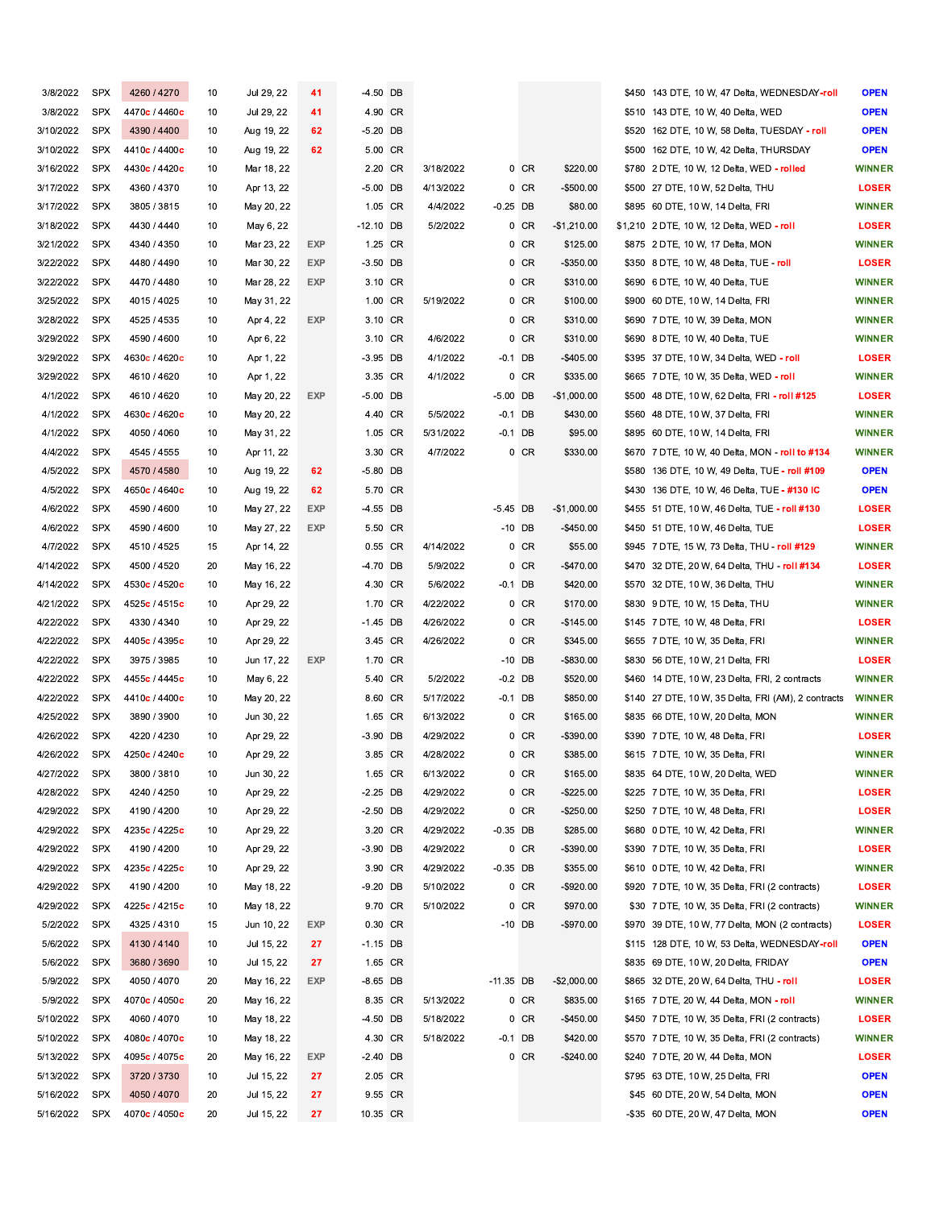| 3/8/2022  | <b>SPX</b> | 4260 / 4270   | 10 | Jul 29, 22 | 41         | -4.50 DB    |           |             |        |                          | \$450 143 DTE, 10 W, 47 Delta, WEDNESDAY-roll       | <b>OPEN</b>   |
|-----------|------------|---------------|----|------------|------------|-------------|-----------|-------------|--------|--------------------------|-----------------------------------------------------|---------------|
| 3/8/2022  | <b>SPX</b> | 4470c / 4460c | 10 | Jul 29, 22 | 41         | 4.90 CR     |           |             |        |                          | \$510 143 DTE, 10 W, 40 Delta, WED                  | <b>OPEN</b>   |
| 3/10/2022 | <b>SPX</b> | 4390 / 4400   | 10 | Aug 19, 22 | 62         | $-5.20$ DB  |           |             |        |                          | \$520 162 DTE, 10 W, 58 Delta, TUESDAY - roll       | <b>OPEN</b>   |
| 3/10/2022 | <b>SPX</b> | 4410c / 4400c | 10 | Aug 19, 22 | 62         | 5.00 CR     |           |             |        |                          | \$500 162 DTE, 10 W, 42 Delta, THURSDAY             | <b>OPEN</b>   |
| 3/16/2022 | <b>SPX</b> | 4430c / 4420c | 10 | Mar 18, 22 |            | 2.20 CR     | 3/18/2022 |             | $0$ CR | \$220.00                 | \$780 2 DTE, 10 W, 12 Delta, WED - rolled           | <b>WINNER</b> |
| 3/17/2022 | <b>SPX</b> | 4360 / 4370   | 10 | Apr 13, 22 |            | $-5.00$ DB  | 4/13/2022 |             | 0 CR   | $-$500.00$               | \$500 27 DTE, 10 W, 52 Delta, THU                   | <b>LOSER</b>  |
| 3/17/2022 | <b>SPX</b> | 3805 / 3815   | 10 | May 20, 22 |            | 1.05 CR     | 4/4/2022  | $-0.25$ DB  |        | \$80.00                  | \$895 60 DTE, 10 W, 14 Delta, FRI                   | <b>WINNER</b> |
| 3/18/2022 | <b>SPX</b> | 4430 / 4440   | 10 | May 6, 22  |            | $-12.10$ DB | 5/2/2022  |             | 0 CR   | $-$1,210.00$             | \$1,210 2 DTE, 10 W, 12 Delta, WED - roll           | <b>LOSER</b>  |
| 3/21/2022 | <b>SPX</b> | 4340 / 4350   | 10 | Mar 23, 22 | <b>EXP</b> | 1.25 CR     |           |             | 0 CR   | \$125.00                 | \$875 2 DTE, 10 W, 17 Delta, MON                    | <b>WINNER</b> |
| 3/22/2022 | <b>SPX</b> | 4480 / 4490   | 10 | Mar 30, 22 | <b>EXP</b> | $-3.50$ DB  |           |             | 0 CR   | $-$350.00$               | \$350 8 DTE, 10 W, 48 Delta, TUE - roll             | <b>LOSER</b>  |
| 3/22/2022 | <b>SPX</b> | 4470 / 4480   | 10 | Mar 28, 22 | EXP        | 3.10 CR     |           |             | 0 CR   | \$310.00                 | \$690 6 DTE, 10 W, 40 Delta, TUE                    | <b>WINNER</b> |
|           |            |               |    |            |            | 1.00 CR     |           |             |        |                          |                                                     |               |
| 3/25/2022 | <b>SPX</b> | 4015 / 4025   | 10 | May 31, 22 |            |             | 5/19/2022 |             | 0 CR   | \$100.00                 | \$900 60 DTE, 10 W, 14 Delta, FRI                   | <b>WINNER</b> |
| 3/28/2022 | <b>SPX</b> | 4525 / 4535   | 10 | Apr 4, 22  | <b>EXP</b> | 3.10 CR     |           |             | 0 CR   | \$310.00                 | \$690 7 DTE, 10 W, 39 Delta, MON                    | <b>WINNER</b> |
| 3/29/2022 | <b>SPX</b> | 4590 / 4600   | 10 | Apr 6, 22  |            | 3.10 CR     | 4/6/2022  |             | 0 CR   | \$310.00                 | \$690 8 DTE, 10 W, 40 Delta, TUE                    | <b>WINNER</b> |
| 3/29/2022 | <b>SPX</b> | 4630c / 4620c | 10 | Apr 1, 22  |            | $-3.95$ DB  | 4/1/2022  | $-0.1$ DB   |        | $-$405.00$               | \$395 37 DTE, 10 W, 34 Delta, WED - roll            | <b>LOSER</b>  |
| 3/29/2022 | <b>SPX</b> | 4610 / 4620   | 10 | Apr 1, 22  |            | 3.35 CR     | 4/1/2022  |             | $0$ CR | \$335.00                 | \$665 7 DTE, 10 W, 35 Delta, WED - roll             | <b>WINNER</b> |
| 4/1/2022  | <b>SPX</b> | 4610 / 4620   | 10 | May 20, 22 | <b>EXP</b> | -5.00 DB    |           | $-5.00$ DB  |        | $-$1,000.00$             | \$500 48 DTE, 10 W, 62 Delta, FRI - roll #125       | <b>LOSER</b>  |
| 4/1/2022  | <b>SPX</b> | 4630c / 4620c | 10 | May 20, 22 |            | 4.40 CR     | 5/5/2022  | $-0.1$ DB   |        | \$430.00                 | \$560 48 DTE, 10 W, 37 Delta, FRI                   | <b>WINNER</b> |
| 4/1/2022  | <b>SPX</b> | 4050 / 4060   | 10 | May 31, 22 |            | 1.05 CR     | 5/31/2022 | $-0.1$ DB   |        | \$95.00                  | \$895 60 DTE, 10 W, 14 Delta, FRI                   | <b>WINNER</b> |
| 4/4/2022  | <b>SPX</b> | 4545 / 4555   | 10 | Apr 11, 22 |            | 3.30 CR     | 4/7/2022  |             | 0 CR   | \$330.00                 | \$670 7 DTE, 10 W, 40 Delta, MON - roll to #134     | <b>WINNER</b> |
| 4/5/2022  | <b>SPX</b> | 4570 / 4580   | 10 | Aug 19, 22 | 62         | $-5.80$ DB  |           |             |        |                          | \$580 136 DTE, 10 W, 49 Delta, TUE - roll #109      | <b>OPEN</b>   |
| 4/5/2022  | <b>SPX</b> | 4650c / 4640c | 10 | Aug 19, 22 | 62         | 5.70 CR     |           |             |        |                          | \$430 136 DTE, 10 W, 46 Delta, TUE - #130 IC        | <b>OPEN</b>   |
| 4/6/2022  | <b>SPX</b> | 4590 / 4600   | 10 | May 27, 22 | <b>EXP</b> | -4.55 DB    |           | $-5.45$ DB  |        | $-$1,000.00$             | \$455 51 DTE, 10 W, 46 Delta, TUE - roll #130       | <b>LOSER</b>  |
| 4/6/2022  | <b>SPX</b> | 4590 / 4600   | 10 | May 27, 22 | <b>EXP</b> | 5.50 CR     |           | $-10$ DB    |        | $-$450.00$               | \$450 51 DTE, 10 W, 46 Delta, TUE                   | <b>LOSER</b>  |
| 4/7/2022  | <b>SPX</b> | 4510 / 4525   | 15 | Apr 14, 22 |            | 0.55 CR     | 4/14/2022 |             | 0 CR   | \$55.00                  | \$945 7 DTE, 15 W, 73 Delta, THU - roll #129        | <b>WINNER</b> |
| 4/14/2022 | <b>SPX</b> | 4500 / 4520   | 20 | May 16, 22 |            | -4.70 DB    | 5/9/2022  |             | 0 CR   | $-$470.00$               | \$470 32 DTE, 20 W, 64 Delta, THU - roll #134       | <b>LOSER</b>  |
| 4/14/2022 | <b>SPX</b> | 4530c / 4520c | 10 | May 16, 22 |            | 4.30 CR     | 5/6/2022  | $-0.1$ DB   |        | \$420.00                 | \$570 32 DTE, 10 W, 36 Delta, THU                   | <b>WINNER</b> |
| 4/21/2022 | <b>SPX</b> | 4525c / 4515c | 10 | Apr 29, 22 |            | 1.70 CR     | 4/22/2022 |             | 0 CR   | \$170.00                 | \$830 9 DTE, 10 W, 15 Delta, THU                    | <b>WINNER</b> |
| 4/22/2022 | <b>SPX</b> | 4330 / 4340   | 10 | Apr 29, 22 |            | $-1.45$ DB  | 4/26/2022 |             | 0 CR   | $-$145.00$               | \$145 7 DTE, 10 W, 48 Delta, FRI                    | <b>LOSER</b>  |
| 4/22/2022 | <b>SPX</b> | 4405c / 4395c | 10 | Apr 29, 22 |            | 3.45 CR     | 4/26/2022 |             | 0 CR   | \$345.00                 | \$655 7 DTE, 10 W, 35 Delta, FRI                    | <b>WINNER</b> |
| 4/22/2022 | <b>SPX</b> | 3975 / 3985   | 10 | Jun 17, 22 | <b>EXP</b> | 1.70 CR     |           | $-10$ DB    |        | -\$830.00                | \$830 56 DTE, 10 W, 21 Delta, FRI                   | <b>LOSER</b>  |
| 4/22/2022 | <b>SPX</b> | 4455c / 4445c | 10 | May 6, 22  |            | 5.40 CR     | 5/2/2022  | $-0.2$ DB   |        | \$520.00                 | \$460 14 DTE, 10 W, 23 Delta, FRI, 2 contracts      | <b>WINNER</b> |
| 4/22/2022 | <b>SPX</b> | 4410c / 4400c | 10 | May 20, 22 |            | 8.60 CR     | 5/17/2022 | $-0.1$ DB   |        | \$850.00                 | \$140 27 DTE, 10 W, 35 Delta, FRI (AM), 2 contracts | <b>WINNER</b> |
| 4/25/2022 | <b>SPX</b> | 3890 / 3900   | 10 | Jun 30, 22 |            | 1.65 CR     | 6/13/2022 |             | 0 CR   | \$165.00                 | \$835 66 DTE, 10 W, 20 Delta, MON                   | <b>WINNER</b> |
| 4/26/2022 | <b>SPX</b> | 4220 / 4230   | 10 | Apr 29, 22 |            | $-3.90$ DB  | 4/29/2022 |             | 0 CR   | -\$390.00                | \$390 7 DTE, 10 W, 48 Delta, FRI                    | <b>LOSER</b>  |
| 4/26/2022 | <b>SPX</b> | 4250c / 4240c | 10 | Apr 29, 22 |            | 3.85 CR     | 4/28/2022 |             | 0 CR   | \$385.00                 | \$615 7 DTE, 10 W, 35 Delta, FRI                    | <b>WINNER</b> |
| 4/27/2022 | <b>SPX</b> | 3800 / 3810   | 10 | Jun 30, 22 |            | 1.65 CR     | 6/13/2022 |             | 0 CR   | \$165.00                 | \$835 64 DTE, 10 W, 20 Delta, WED                   | <b>WINNER</b> |
| 4/28/2022 | <b>SPX</b> | 4240 / 4250   | 10 | Apr 29, 22 |            | $-2.25$ DB  | 4/29/2022 |             | 0 CR   | $-$225.00$               | \$225 7 DTE, 10 W, 35 Delta, FRI                    | <b>LOSER</b>  |
| 4/29/2022 | <b>SPX</b> | 4190 / 4200   | 10 | Apr 29, 22 |            | $-2.50$ DB  | 4/29/2022 |             | $0$ CR | $-$250.00$               | \$250 7 DTE, 10 W, 48 Delta, FRI                    | <b>LOSER</b>  |
| 4/29/2022 | SPX        | 4235c / 4225c | 10 | Apr 29, 22 |            | 3.20 CR     | 4/29/2022 | $-0.35$ DB  |        | \$285.00                 | \$680 0 DTE, 10 W, 42 Delta, FRI                    | <b>WINNER</b> |
| 4/29/2022 | <b>SPX</b> | 4190 / 4200   | 10 | Apr 29, 22 |            | $-3.90$ DB  | 4/29/2022 |             | 0 CR   | -\$390.00                | \$390 7 DTE, 10 W, 35 Delta, FRI                    | <b>LOSER</b>  |
| 4/29/2022 | SPX        | 4235c / 4225c | 10 | Apr 29, 22 |            | 3.90 CR     | 4/29/2022 | $-0.35$ DB  |        | \$355.00                 | \$610 0 DTE, 10 W, 42 Delta, FRI                    | <b>WINNER</b> |
| 4/29/2022 | <b>SPX</b> | 4190 / 4200   | 10 | May 18, 22 |            | $-9.20$ DB  | 5/10/2022 |             | $0$ CR | $-$920.00$               | \$920 7 DTE, 10 W, 35 Delta, FRI (2 contracts)      | <b>LOSER</b>  |
| 4/29/2022 | <b>SPX</b> | 4225c / 4215c | 10 | May 18, 22 |            | 9.70 CR     | 5/10/2022 |             | $0$ CR | \$970.00                 | \$30 7 DTE, 10 W, 35 Delta, FRI (2 contracts)       | <b>WINNER</b> |
| 5/2/2022  | <b>SPX</b> | 4325 / 4310   | 15 | Jun 10, 22 | EXP        | 0.30 CR     |           | $-10$ DB    |        | -\$970.00                | \$970 39 DTE, 10 W, 77 Delta, MON (2 contracts)     | <b>LOSER</b>  |
| 5/6/2022  | <b>SPX</b> | 4130 / 4140   | 10 | Jul 15, 22 | 27         | $-1.15$ DB  |           |             |        |                          | \$115 128 DTE, 10 W, 53 Delta, WEDNESDAY-roll       | <b>OPEN</b>   |
|           | <b>SPX</b> |               |    |            |            |             |           |             |        |                          |                                                     | <b>OPEN</b>   |
| 5/6/2022  |            | 3680 / 3690   | 10 | Jul 15, 22 | 27         | 1.65 CR     |           |             |        |                          | \$835 69 DTE, 10 W, 20 Delta, FRIDAY                |               |
| 5/9/2022  | <b>SPX</b> | 4050 / 4070   | 20 | May 16, 22 | <b>EXP</b> | $-8.65$ DB  |           | $-11.35$ DB |        | $-$2,000.00$<br>\$835.00 | \$865 32 DTE, 20 W, 64 Delta, THU - roll            | <b>LOSER</b>  |
| 5/9/2022  | <b>SPX</b> | 4070c / 4050c | 20 | May 16, 22 |            | 8.35 CR     | 5/13/2022 |             | 0 CR   |                          | \$165 7 DTE, 20 W, 44 Delta, MON - roll             | <b>WINNER</b> |
| 5/10/2022 | <b>SPX</b> | 4060 / 4070   | 10 | May 18, 22 |            | $-4.50$ DB  | 5/18/2022 |             | $0$ CR | $-$ \$450.00             | \$450 7 DTE, 10 W, 35 Delta, FRI (2 contracts)      | <b>LOSER</b>  |
| 5/10/2022 | <b>SPX</b> | 4080c / 4070c | 10 | May 18, 22 |            | 4.30 CR     | 5/18/2022 | $-0.1$ DB   |        | \$420.00                 | \$570 7 DTE, 10 W, 35 Delta, FRI (2 contracts)      | <b>WINNER</b> |
| 5/13/2022 | <b>SPX</b> | 4095c / 4075c | 20 | May 16, 22 | EXP        | $-2.40$ DB  |           |             | $0$ CR | $-$240.00$               | \$240 7 DTE, 20 W, 44 Delta, MON                    | <b>LOSER</b>  |
| 5/13/2022 | <b>SPX</b> | 3720 / 3730   | 10 | Jul 15, 22 | 27         | 2.05 CR     |           |             |        |                          | \$795 63 DTE, 10 W, 25 Delta, FRI                   | <b>OPEN</b>   |
| 5/16/2022 | <b>SPX</b> | 4050 / 4070   | 20 | Jul 15, 22 | 27         | 9.55 CR     |           |             |        |                          | \$45 60 DTE, 20 W, 54 Delta, MON                    | <b>OPEN</b>   |
| 5/16/2022 | <b>SPX</b> | 4070c / 4050c | 20 | Jul 15, 22 | 27         | 10.35 CR    |           |             |        |                          | -\$35 60 DTE, 20 W, 47 Delta, MON                   | <b>OPEN</b>   |

÷